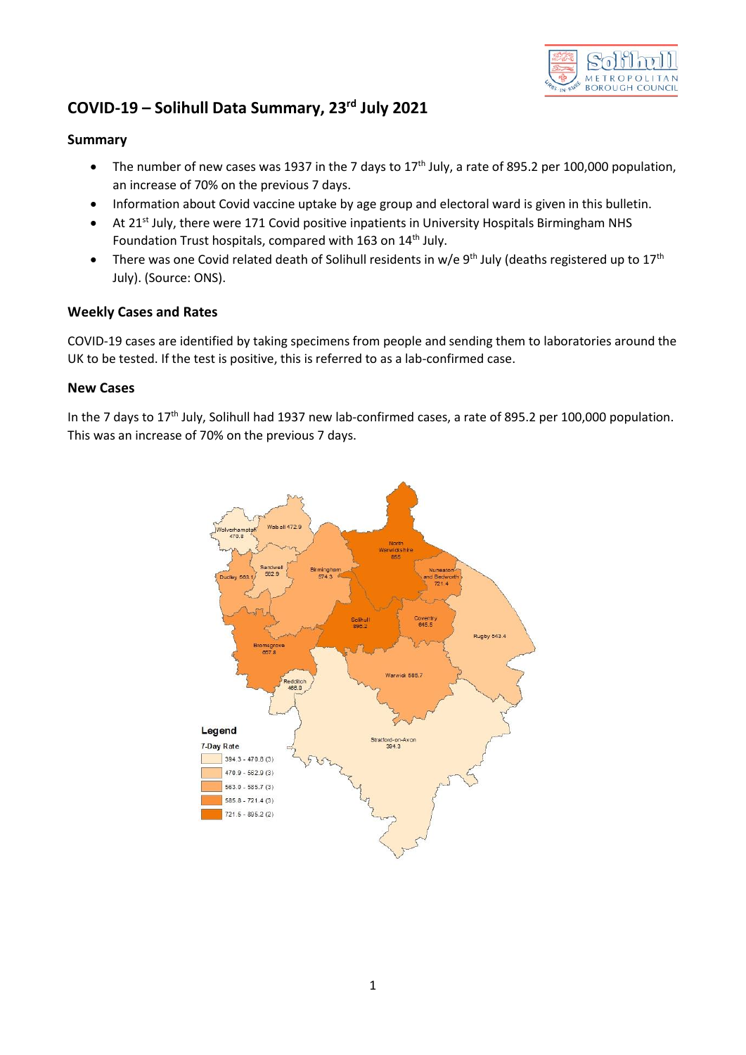

# **COVID-19 – Solihull Data Summary, 23rd July 2021**

### **Summary**

- The number of new cases was 1937 in the 7 days to  $17<sup>th</sup>$  July, a rate of 895.2 per 100,000 population, an increase of 70% on the previous 7 days.
- Information about Covid vaccine uptake by age group and electoral ward is given in this bulletin.
- At 21<sup>st</sup> July, there were 171 Covid positive inpatients in University Hospitals Birmingham NHS Foundation Trust hospitals, compared with 163 on 14<sup>th</sup> July.
- There was one Covid related death of Solihull residents in w/e 9<sup>th</sup> July (deaths registered up to 17<sup>th</sup> July). (Source: ONS).

#### **Weekly Cases and Rates**

COVID-19 cases are identified by taking specimens from people and sending them to laboratories around the UK to be tested. If the test is positive, this is referred to as a lab-confirmed case.

#### **New Cases**

In the 7 days to 17<sup>th</sup> July, Solihull had 1937 new lab-confirmed cases, a rate of 895.2 per 100,000 population. This was an increase of 70% on the previous 7 days.

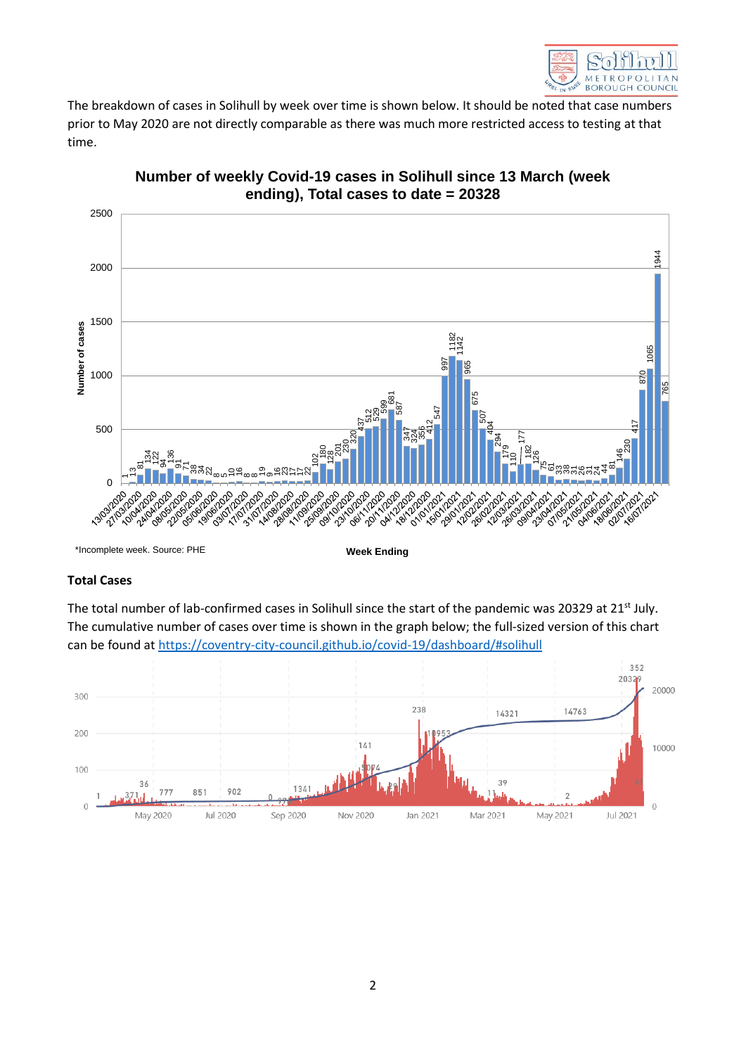

The breakdown of cases in Solihull by week over time is shown below. It should be noted that case numbers prior to May 2020 are not directly comparable as there was much more restricted access to testing at that time.



## **Number of weekly Covid-19 cases in Solihull since 13 March (week ending), Total cases to date = 20328**

\*Incomplete week. Source: PHE

**Week Ending**

## **Total Cases**

The total number of lab-confirmed cases in Solihull since the start of the pandemic was 20329 at 21<sup>st</sup> July. The cumulative number of cases over time is shown in the graph below; the full-sized version of this chart can be found at<https://coventry-city-council.github.io/covid-19/dashboard/#solihull>

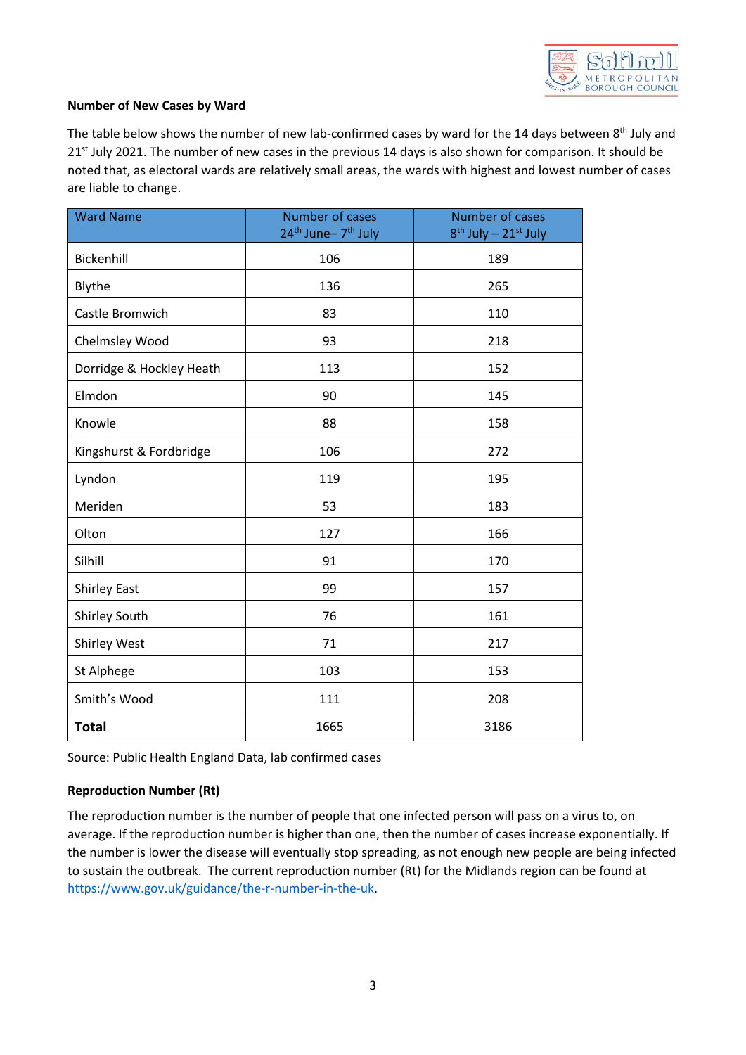

#### **Number of New Cases by Ward**

The table below shows the number of new lab-confirmed cases by ward for the 14 days between 8<sup>th</sup> July and 21<sup>st</sup> July 2021. The number of new cases in the previous 14 days is also shown for comparison. It should be noted that, as electoral wards are relatively small areas, the wards with highest and lowest number of cases are liable to change.

| <b>Ward Name</b>         | Number of cases<br>24 <sup>th</sup> June-7 <sup>th</sup> July | Number of cases<br>8 <sup>th</sup> July - 21 <sup>st</sup> July |  |  |  |  |
|--------------------------|---------------------------------------------------------------|-----------------------------------------------------------------|--|--|--|--|
| Bickenhill               | 106                                                           | 189                                                             |  |  |  |  |
| Blythe                   | 136                                                           | 265                                                             |  |  |  |  |
| Castle Bromwich          | 83                                                            | 110                                                             |  |  |  |  |
| Chelmsley Wood           | 93                                                            | 218                                                             |  |  |  |  |
| Dorridge & Hockley Heath | 113                                                           | 152                                                             |  |  |  |  |
| Elmdon                   | 90                                                            | 145                                                             |  |  |  |  |
| Knowle                   | 88                                                            | 158                                                             |  |  |  |  |
| Kingshurst & Fordbridge  | 106                                                           | 272                                                             |  |  |  |  |
| Lyndon                   | 119                                                           | 195                                                             |  |  |  |  |
| Meriden                  | 53                                                            | 183                                                             |  |  |  |  |
| Olton                    | 127                                                           | 166                                                             |  |  |  |  |
| Silhill                  | 91                                                            | 170                                                             |  |  |  |  |
| <b>Shirley East</b>      | 99                                                            | 157                                                             |  |  |  |  |
| Shirley South            | 76                                                            | 161                                                             |  |  |  |  |
| Shirley West             | 71                                                            | 217                                                             |  |  |  |  |
| St Alphege               | 103                                                           | 153                                                             |  |  |  |  |
| Smith's Wood             | 111                                                           | 208                                                             |  |  |  |  |
| <b>Total</b>             | 1665                                                          | 3186                                                            |  |  |  |  |

Source: Public Health England Data, lab confirmed cases

## **Reproduction Number (Rt)**

The reproduction number is the number of people that one infected person will pass on a virus to, on average. If the reproduction number is higher than one, then the number of cases increase exponentially. If the number is lower the disease will eventually stop spreading, as not enough new people are being infected to sustain the outbreak. The current reproduction number (Rt) for the Midlands region can be found at [https://www.gov.uk/guidance/the-r-number-in-the-uk.](https://www.gov.uk/guidance/the-r-number-in-the-uk)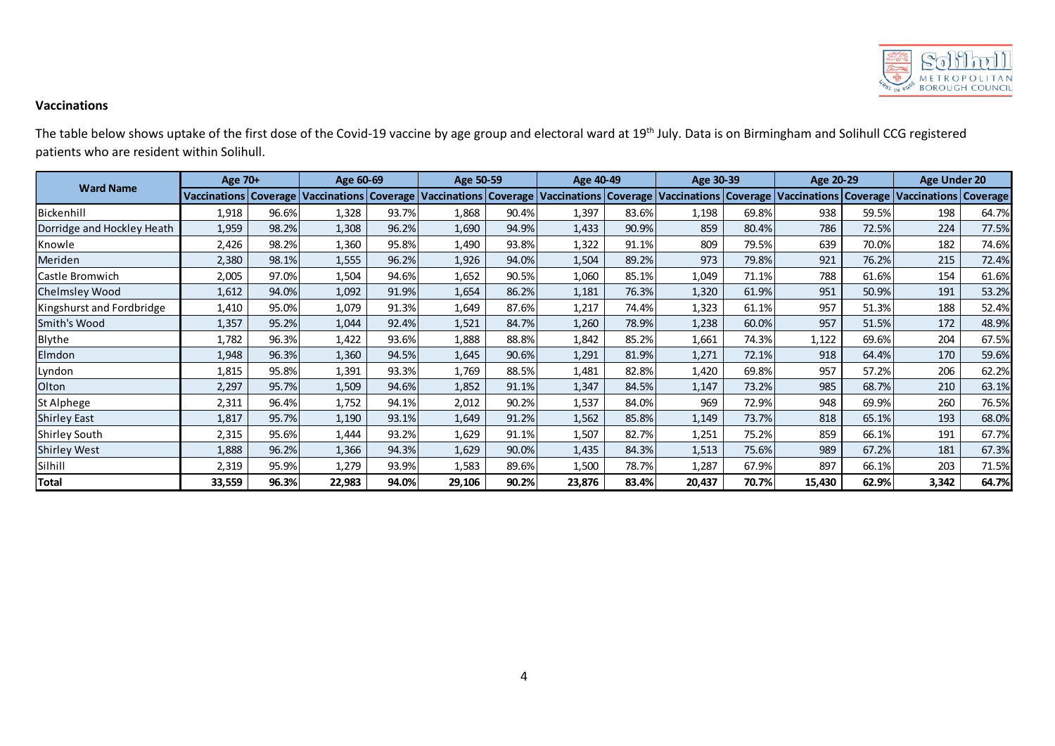

## **Vaccinations**

|                                            | The table below shows uptake of the first dose of the Covid-19 vaccine by age group and electoral ward at 19th July. Data is on Birmingham and Solihull CCG registered |       |           |       |                                                                                                                                                                                 |       |           |       |           |       |           |       |                     |       |
|--------------------------------------------|------------------------------------------------------------------------------------------------------------------------------------------------------------------------|-------|-----------|-------|---------------------------------------------------------------------------------------------------------------------------------------------------------------------------------|-------|-----------|-------|-----------|-------|-----------|-------|---------------------|-------|
| patients who are resident within Solihull. |                                                                                                                                                                        |       |           |       |                                                                                                                                                                                 |       |           |       |           |       |           |       |                     |       |
| <b>Ward Name</b>                           | Age 70+                                                                                                                                                                |       | Age 60-69 |       | Age 50-59                                                                                                                                                                       |       | Age 40-49 |       | Age 30-39 |       | Age 20-29 |       | <b>Age Under 20</b> |       |
|                                            |                                                                                                                                                                        |       |           |       | Vaccinations Coverage Vaccinations Coverage Vaccinations Coverage Vaccinations Coverage Vaccinations Coverage Vaccinations Coverage Vaccinations Coverage Vaccinations Coverage |       |           |       |           |       |           |       |                     |       |
| Bickenhill                                 | 1,918                                                                                                                                                                  | 96.6% | 1,328     | 93.7% | 1,868                                                                                                                                                                           | 90.4% | 1,397     | 83.6% | 1,198     | 69.8% | 938       | 59.5% | 198                 | 64.7% |
| Dorridge and Hockley Heath                 | 1,959                                                                                                                                                                  | 98.2% | 1,308     | 96.2% | 1,690                                                                                                                                                                           | 94.9% | 1,433     | 90.9% | 859       | 80.4% | 786       | 72.5% | 224                 | 77.5% |
| Knowle                                     | 2,426                                                                                                                                                                  | 98.2% | 1,360     | 95.8% | 1,490                                                                                                                                                                           | 93.8% | 1,322     | 91.1% | 809       | 79.5% | 639       | 70.0% | 182                 | 74.6% |
| Meriden                                    | 2,380                                                                                                                                                                  | 98.1% | 1,555     | 96.2% | 1,926                                                                                                                                                                           | 94.0% | 1,504     | 89.2% | 973       | 79.8% | 921       | 76.2% | 215                 | 72.4% |
| Castle Bromwich                            | 2,005                                                                                                                                                                  | 97.0% | 1,504     | 94.6% | 1,652                                                                                                                                                                           | 90.5% | 1,060     | 85.1% | 1,049     | 71.1% | 788       | 61.6% | 154                 | 61.6% |
| <b>Chelmsley Wood</b>                      | 1,612                                                                                                                                                                  | 94.0% | 1,092     | 91.9% | 1,654                                                                                                                                                                           | 86.2% | 1,181     | 76.3% | 1,320     | 61.9% | 951       | 50.9% | 191                 | 53.2% |
| Kingshurst and Fordbridge                  | 1,410                                                                                                                                                                  | 95.0% | 1,079     | 91.3% | 1,649                                                                                                                                                                           | 87.6% | 1,217     | 74.4% | 1,323     | 61.1% | 957       | 51.3% | 188                 | 52.4% |
| Smith's Wood                               | 1,357                                                                                                                                                                  | 95.2% | 1,044     | 92.4% | 1,521                                                                                                                                                                           | 84.7% | 1,260     | 78.9% | 1,238     | 60.0% | 957       | 51.5% | 172                 | 48.9% |
| Blythe                                     | 1,782                                                                                                                                                                  | 96.3% | 1,422     | 93.6% | 1,888                                                                                                                                                                           | 88.8% | 1,842     | 85.2% | 1,661     | 74.3% | 1,122     | 69.6% | 204                 | 67.5% |
| Elmdon                                     | 1,948                                                                                                                                                                  | 96.3% | 1,360     | 94.5% | 1,645                                                                                                                                                                           | 90.6% | 1,291     | 81.9% | 1,271     | 72.1% | 918       | 64.4% | 170                 | 59.6% |
| Lyndon                                     | 1,815                                                                                                                                                                  | 95.8% | 1,391     | 93.3% | 1,769                                                                                                                                                                           | 88.5% | 1,481     | 82.8% | 1,420     | 69.8% | 957       | 57.2% | 206                 | 62.2% |
| Olton                                      | 2,297                                                                                                                                                                  | 95.7% | 1,509     | 94.6% | 1,852                                                                                                                                                                           | 91.1% | 1,347     | 84.5% | 1,147     | 73.2% | 985       | 68.7% | 210                 | 63.1% |
| St Alphege                                 | 2,311                                                                                                                                                                  | 96.4% | 1,752     | 94.1% | 2,012                                                                                                                                                                           | 90.2% | 1,537     | 84.0% | 969       | 72.9% | 948       | 69.9% | 260                 | 76.5% |
| <b>Shirley East</b>                        | 1,817                                                                                                                                                                  | 95.7% | 1,190     | 93.1% | 1,649                                                                                                                                                                           | 91.2% | 1,562     | 85.8% | 1,149     | 73.7% | 818       | 65.1% | 193                 | 68.0% |
| <b>Shirley South</b>                       | 2,315                                                                                                                                                                  | 95.6% | 1,444     | 93.2% | 1,629                                                                                                                                                                           | 91.1% | 1,507     | 82.7% | 1,251     | 75.2% | 859       | 66.1% | 191                 | 67.7% |
| <b>Shirley West</b>                        | 1,888                                                                                                                                                                  | 96.2% | 1,366     | 94.3% | 1,629                                                                                                                                                                           | 90.0% | 1,435     | 84.3% | 1,513     | 75.6% | 989       | 67.2% | 181                 | 67.3% |
| Silhill                                    | 2,319                                                                                                                                                                  | 95.9% | 1,279     | 93.9% | 1,583                                                                                                                                                                           | 89.6% | 1,500     | 78.7% | 1,287     | 67.9% | 897       | 66.1% | 203                 | 71.5% |
| Total                                      | 33,559                                                                                                                                                                 | 96.3% | 22,983    | 94.0% | 29,106                                                                                                                                                                          | 90.2% | 23,876    | 83.4% | 20,437    | 70.7% | 15,430    | 62.9% | 3,342               | 64.7% |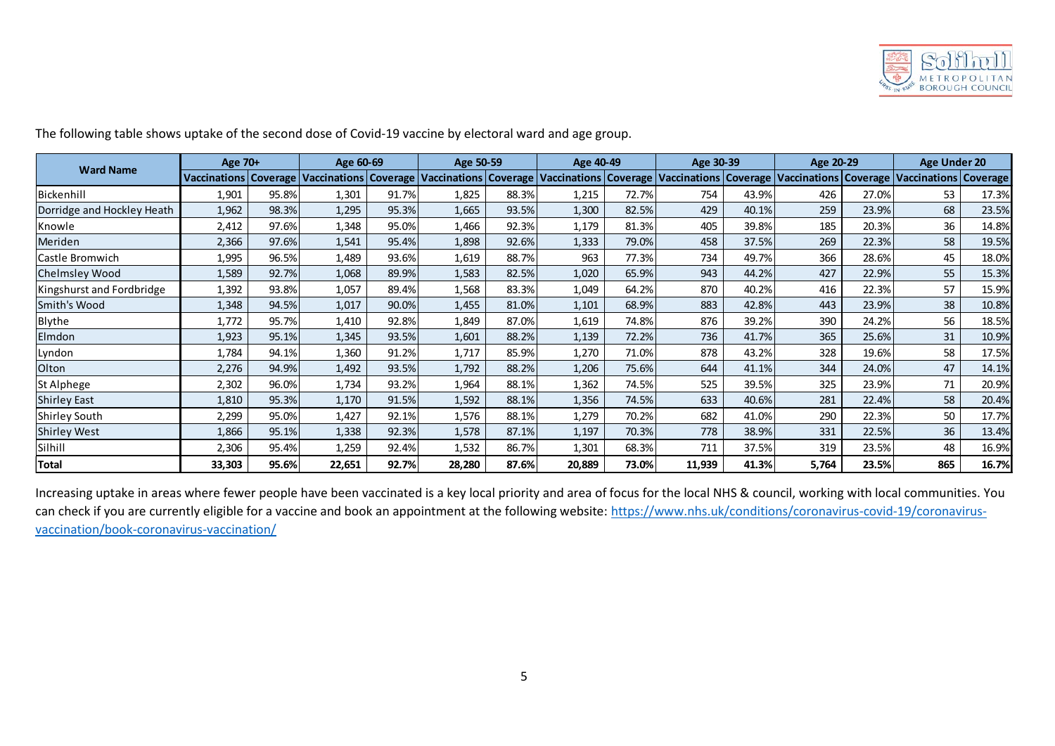

| <b>Ward Name</b>           | Age 70+ |       | Age 60-69                                                                                                                                                                       |       | Age 50-59 |       | Age 40-49 |       | Age 30-39 |       | Age 20-29 |       | <b>Age Under 20</b> |       |
|----------------------------|---------|-------|---------------------------------------------------------------------------------------------------------------------------------------------------------------------------------|-------|-----------|-------|-----------|-------|-----------|-------|-----------|-------|---------------------|-------|
|                            |         |       | Vaccinations Coverage Vaccinations Coverage Vaccinations Coverage Vaccinations Coverage Vaccinations Coverage Vaccinations Coverage Vaccinations Coverage Vaccinations Coverage |       |           |       |           |       |           |       |           |       |                     |       |
| Bickenhill                 | 1,901   | 95.8% | 1,301                                                                                                                                                                           | 91.7% | 1,825     | 88.3% | 1,215     | 72.7% | 754       | 43.9% | 426       | 27.0% | 53                  | 17.3% |
| Dorridge and Hockley Heath | 1,962   | 98.3% | 1,295                                                                                                                                                                           | 95.3% | 1,665     | 93.5% | 1,300     | 82.5% | 429       | 40.1% | 259       | 23.9% | 68                  | 23.5% |
| Knowle                     | 2,412   | 97.6% | 1,348                                                                                                                                                                           | 95.0% | 1,466     | 92.3% | 1,179     | 81.3% | 405       | 39.8% | 185       | 20.3% | 36                  | 14.8% |
| Meriden                    | 2,366   | 97.6% | 1,541                                                                                                                                                                           | 95.4% | 1,898     | 92.6% | 1,333     | 79.0% | 458       | 37.5% | 269       | 22.3% | 58                  | 19.5% |
| Castle Bromwich            | 1,995   | 96.5% | 1,489                                                                                                                                                                           | 93.6% | 1,619     | 88.7% | 963       | 77.3% | 734       | 49.7% | 366       | 28.6% | 45                  | 18.0% |
| Chelmsley Wood             | 1,589   | 92.7% | 1,068                                                                                                                                                                           | 89.9% | 1,583     | 82.5% | 1,020     | 65.9% | 943       | 44.2% | 427       | 22.9% | 55                  | 15.3% |
| Kingshurst and Fordbridge  | 1,392   | 93.8% | 1,057                                                                                                                                                                           | 89.4% | 1,568     | 83.3% | 1,049     | 64.2% | 870       | 40.2% | 416       | 22.3% | 57                  | 15.9% |
| Smith's Wood               | 1,348   | 94.5% | 1,017                                                                                                                                                                           | 90.0% | 1,455     | 81.0% | 1,101     | 68.9% | 883       | 42.8% | 443       | 23.9% | 38                  | 10.8% |
| Blythe                     | 1,772   | 95.7% | 1,410                                                                                                                                                                           | 92.8% | 1,849     | 87.0% | 1,619     | 74.8% | 876       | 39.2% | 390       | 24.2% | 56                  | 18.5% |
| Elmdon                     | 1,923   | 95.1% | 1,345                                                                                                                                                                           | 93.5% | 1,601     | 88.2% | 1,139     | 72.2% | 736       | 41.7% | 365       | 25.6% | 31                  | 10.9% |
| Lyndon                     | 1,784   | 94.1% | 1,360                                                                                                                                                                           | 91.2% | 1,717     | 85.9% | 1,270     | 71.0% | 878       | 43.2% | 328       | 19.6% | 58                  | 17.5% |
| Olton                      | 2,276   | 94.9% | 1,492                                                                                                                                                                           | 93.5% | 1,792     | 88.2% | 1,206     | 75.6% | 644       | 41.1% | 344       | 24.0% | 47                  | 14.1% |
| St Alphege                 | 2,302   | 96.0% | 1,734                                                                                                                                                                           | 93.2% | 1,964     | 88.1% | 1,362     | 74.5% | 525       | 39.5% | 325       | 23.9% | 71                  | 20.9% |
| Shirley East               | 1,810   | 95.3% | 1,170                                                                                                                                                                           | 91.5% | 1,592     | 88.1% | 1,356     | 74.5% | 633       | 40.6% | 281       | 22.4% | 58                  | 20.4% |
| Shirley South              | 2,299   | 95.0% | 1,427                                                                                                                                                                           | 92.1% | 1,576     | 88.1% | 1,279     | 70.2% | 682       | 41.0% | 290       | 22.3% | 50                  | 17.7% |
| Shirley West               | 1,866   | 95.1% | 1,338                                                                                                                                                                           | 92.3% | 1,578     | 87.1% | 1,197     | 70.3% | 778       | 38.9% | 331       | 22.5% | 36                  | 13.4% |
| Silhill                    | 2,306   | 95.4% | 1,259                                                                                                                                                                           | 92.4% | 1,532     | 86.7% | 1,301     | 68.3% | 711       | 37.5% | 319       | 23.5% | 48                  | 16.9% |
| <b>Total</b>               | 33,303  | 95.6% | 22,651                                                                                                                                                                          | 92.7% | 28,280    | 87.6% | 20,889    | 73.0% | 11,939    | 41.3% | 5,764     | 23.5% | 865                 | 16.7% |

can check if you are currently eligible for a vaccine and book an appointment at the following website: [https://www.nhs.uk/conditions/coronavirus-covid-19/coronavirus](https://www.nhs.uk/conditions/coronavirus-covid-19/coronavirus-vaccination/book-coronavirus-vaccination/)[vaccination/book-coronavirus-vaccination/](https://www.nhs.uk/conditions/coronavirus-covid-19/coronavirus-vaccination/book-coronavirus-vaccination/)